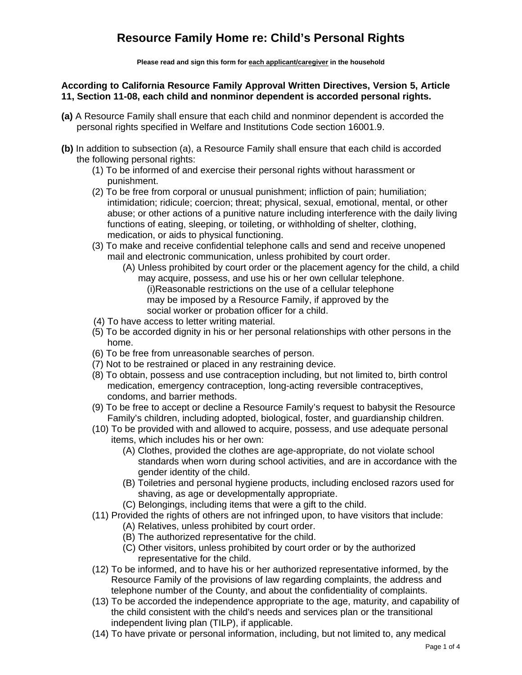**Please read and sign this form for each applicant/caregiver in the household**

#### **According to California Resource Family Approval Written Directives, Version 5, Article 11, Section 11-08, each child and nonminor dependent is accorded personal rights.**

- **(a)** A Resource Family shall ensure that each child and nonminor dependent is accorded the personal rights specified in Welfare and Institutions Code section 16001.9.
- **(b)** In addition to subsection (a), a Resource Family shall ensure that each child is accorded the following personal rights:
	- (1) To be informed of and exercise their personal rights without harassment or punishment.
	- (2) To be free from corporal or unusual punishment; infliction of pain; humiliation; intimidation; ridicule; coercion; threat; physical, sexual, emotional, mental, or other abuse; or other actions of a punitive nature including interference with the daily living functions of eating, sleeping, or toileting, or withholding of shelter, clothing, medication, or aids to physical functioning.
	- (3) To make and receive confidential telephone calls and send and receive unopened mail and electronic communication, unless prohibited by court order.
		- (A) Unless prohibited by court order or the placement agency for the child, a child may acquire, possess, and use his or her own cellular telephone. (i)Reasonable restrictions on the use of a cellular telephone may be imposed by a Resource Family, if approved by the social worker or probation officer for a child.
	- (4) To have access to letter writing material.
	- (5) To be accorded dignity in his or her personal relationships with other persons in the home.
	- (6) To be free from unreasonable searches of person.
	- (7) Not to be restrained or placed in any restraining device.
	- (8) To obtain, possess and use contraception including, but not limited to, birth control medication, emergency contraception, long-acting reversible contraceptives, condoms, and barrier methods.
	- (9) To be free to accept or decline a Resource Family's request to babysit the Resource Family's children, including adopted, biological, foster, and guardianship children.
	- (10) To be provided with and allowed to acquire, possess, and use adequate personal items, which includes his or her own:
		- (A) Clothes, provided the clothes are age-appropriate, do not violate school standards when worn during school activities, and are in accordance with the gender identity of the child.
		- (B) Toiletries and personal hygiene products, including enclosed razors used for shaving, as age or developmentally appropriate.
		- (C) Belongings, including items that were a gift to the child.
	- (11) Provided the rights of others are not infringed upon, to have visitors that include:
		- (A) Relatives, unless prohibited by court order.
		- (B) The authorized representative for the child.
		- (C) Other visitors, unless prohibited by court order or by the authorized representative for the child.
	- (12) To be informed, and to have his or her authorized representative informed, by the Resource Family of the provisions of law regarding complaints, the address and telephone number of the County, and about the confidentiality of complaints.
	- (13) To be accorded the independence appropriate to the age, maturity, and capability of the child consistent with the child's needs and services plan or the transitional independent living plan (TILP), if applicable.
	- (14) To have private or personal information, including, but not limited to, any medical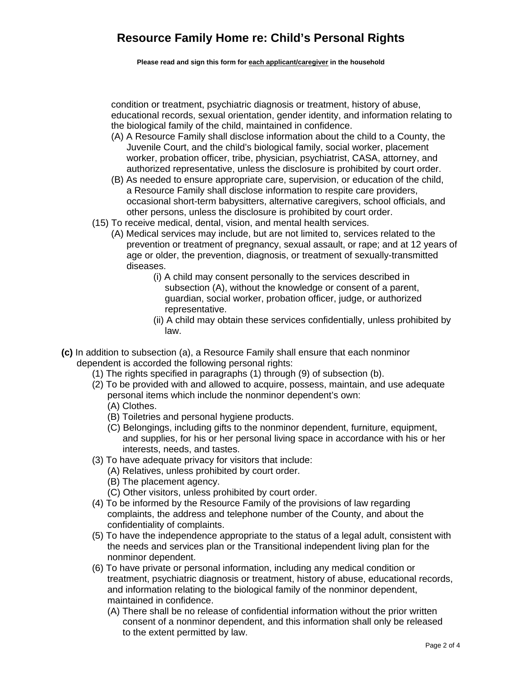**Please read and sign this form for each applicant/caregiver in the household**

condition or treatment, psychiatric diagnosis or treatment, history of abuse, educational records, sexual orientation, gender identity, and information relating to the biological family of the child, maintained in confidence.

- (A) A Resource Family shall disclose information about the child to a County, the Juvenile Court, and the child's biological family, social worker, placement worker, probation officer, tribe, physician, psychiatrist, CASA, attorney, and authorized representative, unless the disclosure is prohibited by court order.
- (B) As needed to ensure appropriate care, supervision, or education of the child, a Resource Family shall disclose information to respite care providers, occasional short-term babysitters, alternative caregivers, school officials, and other persons, unless the disclosure is prohibited by court order.
- (15) To receive medical, dental, vision, and mental health services.
	- (A) Medical services may include, but are not limited to, services related to the prevention or treatment of pregnancy, sexual assault, or rape; and at 12 years of age or older, the prevention, diagnosis, or treatment of sexually-transmitted diseases.
		- (i) A child may consent personally to the services described in subsection (A), without the knowledge or consent of a parent, guardian, social worker, probation officer, judge, or authorized representative.
		- (ii) A child may obtain these services confidentially, unless prohibited by law.
- **(c)** In addition to subsection (a), a Resource Family shall ensure that each nonminor dependent is accorded the following personal rights:
	- (1) The rights specified in paragraphs (1) through (9) of subsection (b).
	- (2) To be provided with and allowed to acquire, possess, maintain, and use adequate personal items which include the nonminor dependent's own: (A) Clothes.
		- (B) Toiletries and personal hygiene products.
		- (C) Belongings, including gifts to the nonminor dependent, furniture, equipment, and supplies, for his or her personal living space in accordance with his or her interests, needs, and tastes.
	- (3) To have adequate privacy for visitors that include:
		- (A) Relatives, unless prohibited by court order.
			- (B) The placement agency.
		- (C) Other visitors, unless prohibited by court order.
	- (4) To be informed by the Resource Family of the provisions of law regarding complaints, the address and telephone number of the County, and about the confidentiality of complaints.
	- (5) To have the independence appropriate to the status of a legal adult, consistent with the needs and services plan or the Transitional independent living plan for the nonminor dependent.
	- (6) To have private or personal information, including any medical condition or treatment, psychiatric diagnosis or treatment, history of abuse, educational records, and information relating to the biological family of the nonminor dependent, maintained in confidence.
		- (A) There shall be no release of confidential information without the prior written consent of a nonminor dependent, and this information shall only be released to the extent permitted by law.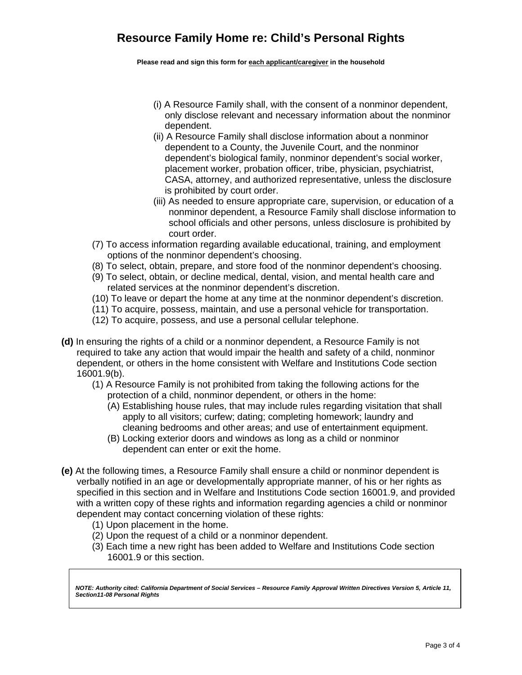**Please read and sign this form for each applicant/caregiver in the household**

- (i) A Resource Family shall, with the consent of a nonminor dependent, only disclose relevant and necessary information about the nonminor dependent.
- (ii) A Resource Family shall disclose information about a nonminor dependent to a County, the Juvenile Court, and the nonminor dependent's biological family, nonminor dependent's social worker, placement worker, probation officer, tribe, physician, psychiatrist, CASA, attorney, and authorized representative, unless the disclosure is prohibited by court order.
- (iii) As needed to ensure appropriate care, supervision, or education of a nonminor dependent, a Resource Family shall disclose information to school officials and other persons, unless disclosure is prohibited by court order.
- (7) To access information regarding available educational, training, and employment options of the nonminor dependent's choosing.
- (8) To select, obtain, prepare, and store food of the nonminor dependent's choosing.
- (9) To select, obtain, or decline medical, dental, vision, and mental health care and related services at the nonminor dependent's discretion.
- (10) To leave or depart the home at any time at the nonminor dependent's discretion.
- (11) To acquire, possess, maintain, and use a personal vehicle for transportation.
- (12) To acquire, possess, and use a personal cellular telephone.
- **(d)** In ensuring the rights of a child or a nonminor dependent, a Resource Family is not required to take any action that would impair the health and safety of a child, nonminor dependent, or others in the home consistent with Welfare and Institutions Code section 16001.9(b).
	- (1) A Resource Family is not prohibited from taking the following actions for the protection of a child, nonminor dependent, or others in the home:
		- (A) Establishing house rules, that may include rules regarding visitation that shall apply to all visitors; curfew; dating; completing homework; laundry and cleaning bedrooms and other areas; and use of entertainment equipment.
		- (B) Locking exterior doors and windows as long as a child or nonminor dependent can enter or exit the home.
- **(e)** At the following times, a Resource Family shall ensure a child or nonminor dependent is verbally notified in an age or developmentally appropriate manner, of his or her rights as specified in this section and in Welfare and Institutions Code section 16001.9, and provided with a written copy of these rights and information regarding agencies a child or nonminor dependent may contact concerning violation of these rights:
	- (1) Upon placement in the home.
	- (2) Upon the request of a child or a nonminor dependent.
	- (3) Each time a new right has been added to Welfare and Institutions Code section 16001.9 or this section.

*NOTE: Authority cited: California Department of Social Services – Resource Family Approval Written Directives Version 5, Article 11, Section11-08 Personal Rights*